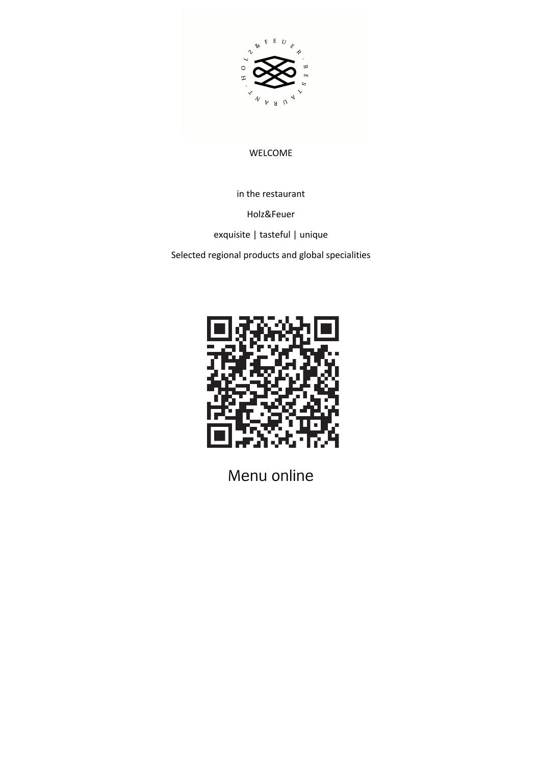

#### WELCOME

in the restaurant

Holz&Feuer

exquisite | tasteful | unique

Selected regional products and global specialities



Menu online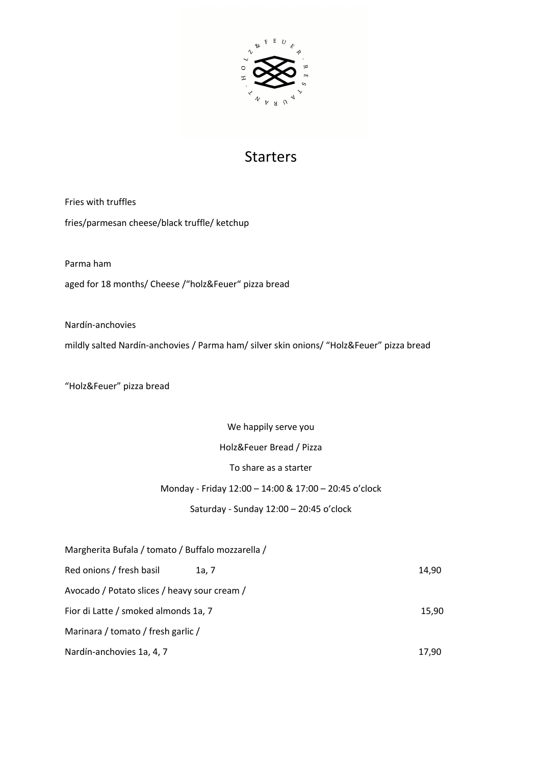

### Starters

Fries with truffles fries/parmesan cheese/black truffle/ ketchup

Parma ham

aged for 18 months/ Cheese /"holz&Feuer" pizza bread

Nardín-anchovies

mildly salted Nardín-anchovies / Parma ham/ silver skin onions/ "Holz&Feuer" pizza bread

"Holz&Feuer" pizza bread

We happily serve you

Holz&Feuer Bread / Pizza

To share as a starter

#### Monday - Friday 12:00 – 14:00 & 17:00 – 20:45 o'clock

#### Saturday - Sunday 12:00 – 20:45 o'clock

| Margherita Bufala / tomato / Buffalo mozzarella / |       |       |
|---------------------------------------------------|-------|-------|
| Red onions / fresh basil                          | 1a. 7 | 14,90 |
| Avocado / Potato slices / heavy sour cream /      |       |       |
| Fior di Latte / smoked almonds 1a, 7              |       | 15,90 |
| Marinara / tomato / fresh garlic /                |       |       |
| Nardín-anchovies 1a, 4, 7                         |       | 17.90 |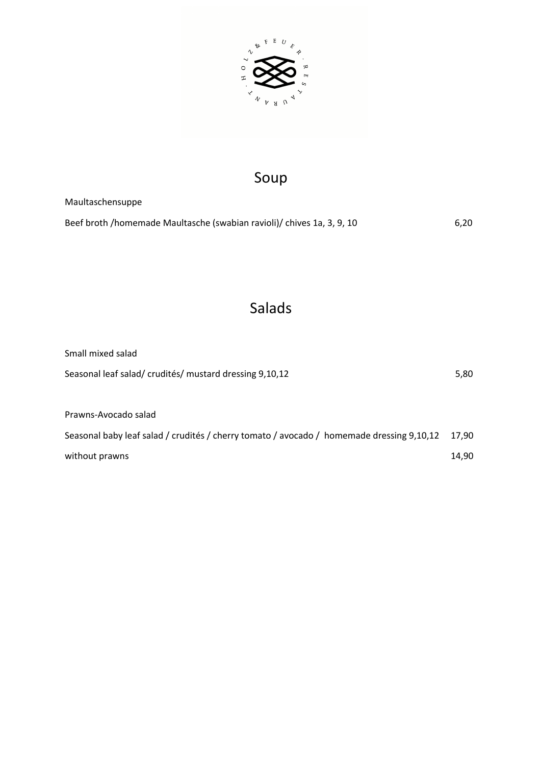

# Soup

Maultaschensuppe Beef broth /homemade Maultasche (swabian ravioli)/ chives 1a, 3, 9, 10 6,20

# Salads

| Small mixed salad                                                                         |       |
|-------------------------------------------------------------------------------------------|-------|
| Seasonal leaf salad/ crudités/ mustard dressing 9,10,12                                   | 5,80  |
|                                                                                           |       |
| Prawns-Avocado salad                                                                      |       |
| Seasonal baby leaf salad / crudités / cherry tomato / avocado / homemade dressing 9,10,12 | 17.90 |
| without prawns                                                                            | 14,90 |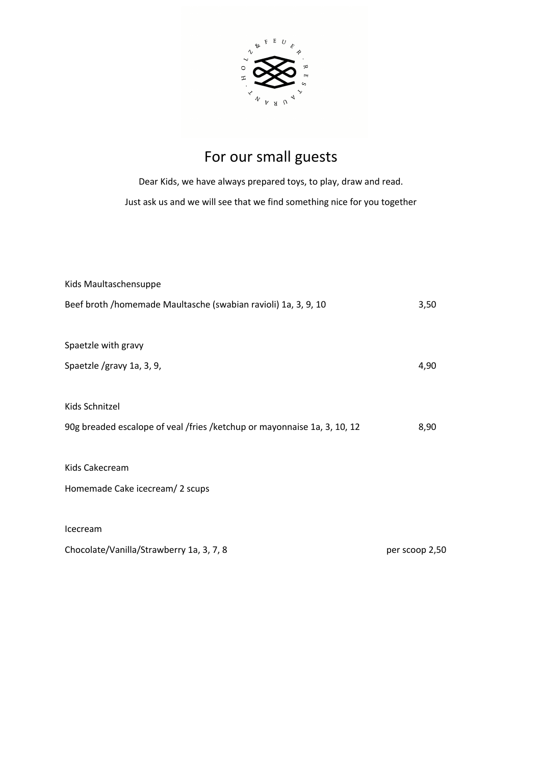

# For our small guests

Dear Kids, we have always prepared toys, to play, draw and read. Just ask us and we will see that we find something nice for you together

| Kids Maultaschensuppe                                                    |                |
|--------------------------------------------------------------------------|----------------|
| Beef broth /homemade Maultasche (swabian ravioli) 1a, 3, 9, 10           | 3,50           |
|                                                                          |                |
| Spaetzle with gravy                                                      |                |
| Spaetzle /gravy 1a, 3, 9,                                                | 4,90           |
|                                                                          |                |
| Kids Schnitzel                                                           |                |
| 90g breaded escalope of veal /fries /ketchup or mayonnaise 1a, 3, 10, 12 | 8,90           |
|                                                                          |                |
| Kids Cakecream                                                           |                |
| Homemade Cake icecream/2 scups                                           |                |
|                                                                          |                |
| Icecream                                                                 |                |
| Chocolate/Vanilla/Strawberry 1a, 3, 7, 8                                 | per scoop 2,50 |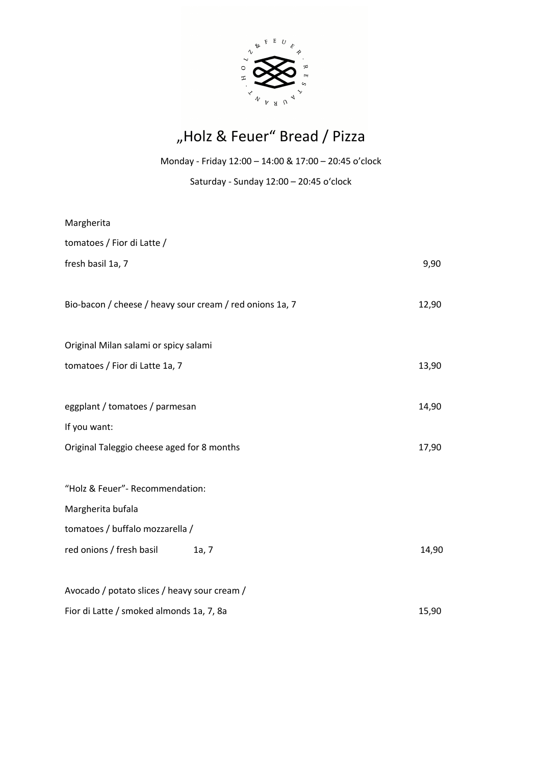

# "Holz & Feuer" Bread / Pizza

Monday - Friday 12:00 – 14:00 & 17:00 – 20:45 o'clock

Saturday - Sunday 12:00 – 20:45 o'clock

| Margherita                                               |       |       |
|----------------------------------------------------------|-------|-------|
| tomatoes / Fior di Latte /                               |       |       |
| fresh basil 1a, 7                                        |       | 9,90  |
|                                                          |       |       |
| Bio-bacon / cheese / heavy sour cream / red onions 1a, 7 |       | 12,90 |
|                                                          |       |       |
| Original Milan salami or spicy salami                    |       |       |
| tomatoes / Fior di Latte 1a, 7                           |       | 13,90 |
|                                                          |       |       |
| eggplant / tomatoes / parmesan                           |       | 14,90 |
| If you want:                                             |       |       |
| Original Taleggio cheese aged for 8 months               |       | 17,90 |
|                                                          |       |       |
| "Holz & Feuer"- Recommendation:                          |       |       |
| Margherita bufala                                        |       |       |
| tomatoes / buffalo mozzarella /                          |       |       |
| red onions / fresh basil                                 | 1a, 7 | 14,90 |
|                                                          |       |       |
| Avocado / potato slices / heavy sour cream /             |       |       |
| Fior di Latte / smoked almonds 1a, 7, 8a                 |       | 15,90 |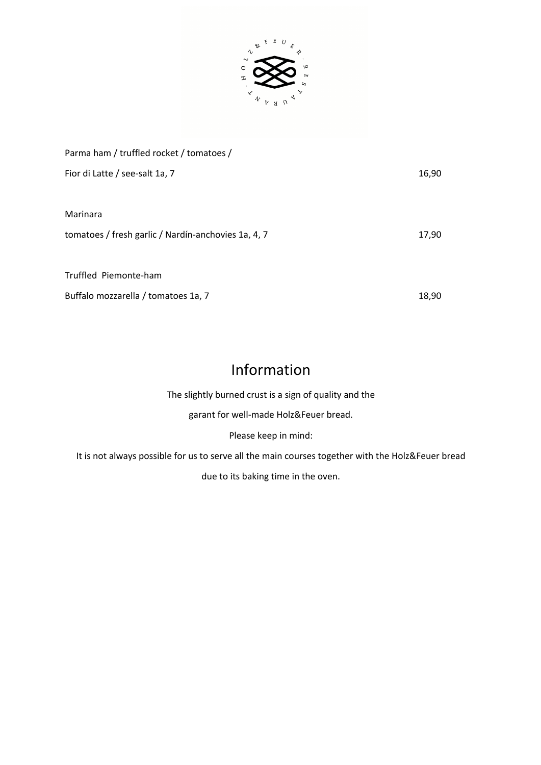

| Parma ham / truffled rocket / tomatoes /            |       |
|-----------------------------------------------------|-------|
| Fior di Latte / see-salt 1a, 7                      | 16,90 |
|                                                     |       |
| Marinara                                            |       |
| tomatoes / fresh garlic / Nardín-anchovies 1a, 4, 7 | 17,90 |
|                                                     |       |
| Truffled Piemonte-ham                               |       |
| Buffalo mozzarella / tomatoes 1a, 7                 | 18,90 |

## Information

The slightly burned crust is a sign of quality and the

garant for well-made Holz&Feuer bread.

Please keep in mind:

It is not always possible for us to serve all the main courses together with the Holz&Feuer bread

due to its baking time in the oven.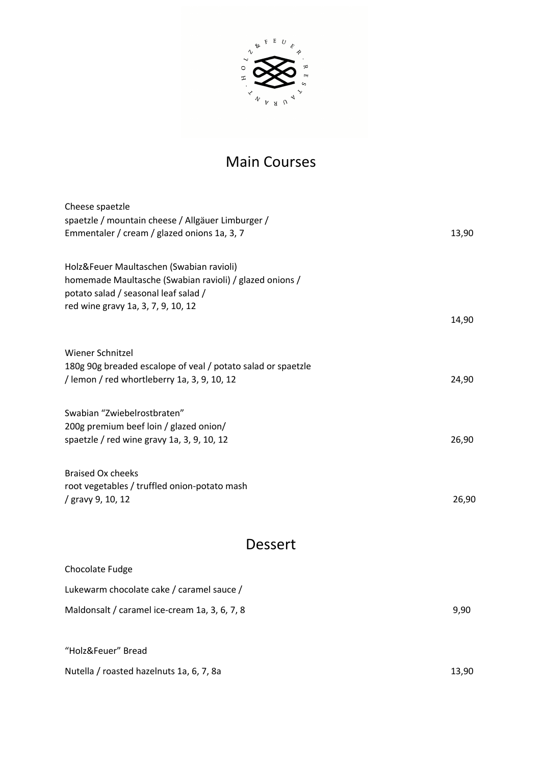

## Main Courses

| Cheese spaetzle                                                                                 |       |
|-------------------------------------------------------------------------------------------------|-------|
| spaetzle / mountain cheese / Allgäuer Limburger /                                               |       |
| Emmentaler / cream / glazed onions 1a, 3, 7                                                     | 13,90 |
|                                                                                                 |       |
| Holz&Feuer Maultaschen (Swabian ravioli)                                                        |       |
| homemade Maultasche (Swabian ravioli) / glazed onions /<br>potato salad / seasonal leaf salad / |       |
| red wine gravy 1a, 3, 7, 9, 10, 12                                                              |       |
|                                                                                                 | 14,90 |
|                                                                                                 |       |
| Wiener Schnitzel                                                                                |       |
| 180g 90g breaded escalope of veal / potato salad or spaetzle                                    |       |
| / lemon / red whortleberry 1a, 3, 9, 10, 12                                                     | 24,90 |
|                                                                                                 |       |
| Swabian "Zwiebelrostbraten"                                                                     |       |
| 200g premium beef loin / glazed onion/                                                          |       |
| spaetzle / red wine gravy 1a, 3, 9, 10, 12                                                      | 26,90 |
|                                                                                                 |       |
| <b>Braised Ox cheeks</b><br>root vegetables / truffled onion-potato mash                        |       |
| / gravy 9, 10, 12                                                                               | 26,90 |
|                                                                                                 |       |
|                                                                                                 |       |
| Dessert                                                                                         |       |
| Chocolate Fudge                                                                                 |       |
| Lukewarm chocolate cake / caramel sauce /                                                       |       |
| Maldonsalt / caramel ice-cream 1a, 3, 6, 7, 8                                                   | 9,90  |
|                                                                                                 |       |
| "Holz&Feuer" Bread                                                                              |       |
|                                                                                                 |       |
| Nutella / roasted hazelnuts 1a, 6, 7, 8a                                                        | 13,90 |